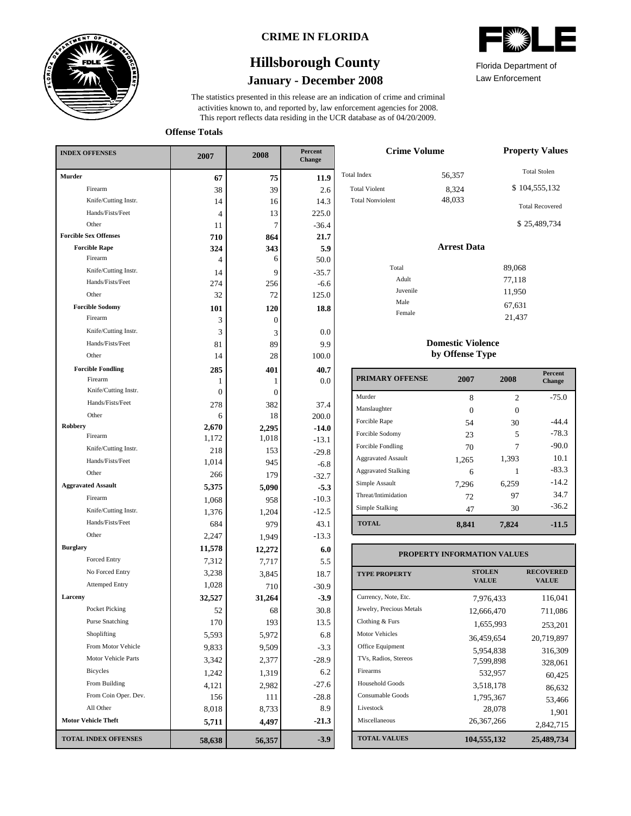

### **CRIME IN FLORIDA**

# **January - December 2008 Hillsborough County**

This report reflects data residing in the UCR database as of 04/20/2009. activities known to, and reported by, law enforcement agencies for 2008. The statistics presented in this release are an indication of crime and criminal



Law Enforcement Florida Department of

21,437

**Offense Totals**

| <b>INDEX OFFENSES</b>        | 2007                     | 2008   | Percent<br>Change |  |
|------------------------------|--------------------------|--------|-------------------|--|
| Murder                       | 67                       | 75     | 11.9              |  |
| Firearm                      | 38                       | 39     | 2.6               |  |
| Knife/Cutting Instr.         | 14                       | 16     | 14.3              |  |
| Hands/Fists/Feet             | $\overline{\mathcal{L}}$ | 13     | 225.0             |  |
| Other                        | 11                       | 7      | $-36.4$           |  |
| <b>Forcible Sex Offenses</b> | 710                      | 864    | 21.7              |  |
| <b>Forcible Rape</b>         | 324                      | 343    | 5.9               |  |
| Firearm                      | 4                        | 6      | 50.0              |  |
| Knife/Cutting Instr.         | 14                       | 9      | $-35.7$           |  |
| Hands/Fists/Feet             | 274                      | 256    | $-6.6$            |  |
| Other                        | 32                       | 72     | 125.0             |  |
| <b>Forcible Sodomy</b>       | 101                      | 120    | 18.8              |  |
| Firearm                      | 3                        | 0      |                   |  |
| Knife/Cutting Instr.         | 3                        | 3      | 0.0               |  |
| Hands/Fists/Feet             | 81                       | 89     | 9.9               |  |
| Other                        | 14                       | 28     | 100.0             |  |
| <b>Forcible Fondling</b>     | 285                      | 401    | 40.7              |  |
| Firearm                      | 1                        | 1      | 0.0               |  |
| Knife/Cutting Instr.         | $\theta$                 | 0      |                   |  |
| Hands/Fists/Feet             | 278                      | 382    | 37.4              |  |
| Other                        | 6                        | 18     | 200.0             |  |
| Robbery                      | 2,670                    | 2,295  | $-14.0$           |  |
| Firearm                      | 1,172                    | 1,018  | $-13.1$           |  |
| Knife/Cutting Instr.         | 218                      | 153    | $-29.8$           |  |
| Hands/Fists/Feet             | 1,014                    | 945    | $-6.8$            |  |
| Other                        | 266                      | 179    | $-32.7$           |  |
| <b>Aggravated Assault</b>    | 5,375                    | 5,090  | $-5.3$            |  |
| Firearm                      | 1,068                    | 958    | $-10.3$           |  |
| Knife/Cutting Instr.         | 1,376                    | 1,204  | $-12.5$           |  |
| Hands/Fists/Feet             | 684                      | 979    | 43.1              |  |
| Other                        | 2,247                    | 1,949  | $-13.3$           |  |
| <b>Burglary</b>              | 11,578                   | 12,272 | 6.0               |  |
| Forced Entry                 | 7,312                    | 7,717  | 5.5               |  |
| No Forced Entry              | 3,238                    | 3,845  | 18.7              |  |
| <b>Attemped Entry</b>        | 1,028                    | 710    | $-30.9$           |  |
| Larceny                      | 32,527                   | 31,264 | $-3.9$            |  |
| Pocket Picking               | 52                       | 68     | 30.8              |  |
| <b>Purse Snatching</b>       | 170                      | 193    | 13.5              |  |
| Shoplifting                  | 5,593                    | 5,972  | 6.8               |  |
| From Motor Vehicle           | 9,833                    | 9,509  | $-3.3$            |  |
| Motor Vehicle Parts          | 3,342                    | 2,377  | $-28.9$           |  |
| <b>Bicycles</b>              | 1,242                    | 1,319  | 6.2               |  |
| From Building                | 4,121                    | 2,982  | $-27.6$           |  |
| From Coin Oper. Dev.         | 156                      | 111    | $-28.8$           |  |
| All Other                    | 8,018                    | 8,733  | 8.9               |  |
| <b>Motor Vehicle Theft</b>   | 5,711                    | 4,497  | $-21.3$           |  |
| <b>TOTAL INDEX OFFENSES</b>  | 58,638                   | 56,357 | $-3.9$            |  |

| <b>Crime Volume</b>                                                   | <b>Property Values</b>    |                                                                                |
|-----------------------------------------------------------------------|---------------------------|--------------------------------------------------------------------------------|
| <b>Total Index</b><br><b>Total Violent</b><br><b>Total Nonviolent</b> | 56,357<br>8,324<br>48,033 | <b>Total Stolen</b><br>\$104,555,132<br><b>Total Recovered</b><br>\$25,489,734 |
|                                                                       | <b>Arrest Data</b>        |                                                                                |
| Total<br>Adult<br>Juvenile<br>Male<br>Female                          |                           | 89,068<br>77,118<br>11,950<br>67,631                                           |
|                                                                       |                           | 21.127                                                                         |

### **Domestic Violence by Offense Type**

| <b>PRIMARY OFFENSE</b>     | 2007  | 2008           | <b>Percent</b><br>Change |
|----------------------------|-------|----------------|--------------------------|
| Murder                     | 8     | $\mathfrak{D}$ | $-75.0$                  |
| Manslaughter               | 0     | $\Omega$       |                          |
| Forcible Rape              | 54    | 30             | $-44.4$                  |
| Forcible Sodomy            | 23    | 5              | $-78.3$                  |
| Forcible Fondling          | 70    | 7              | $-90.0$                  |
| <b>Aggravated Assault</b>  | 1,265 | 1,393          | 10.1                     |
| <b>Aggravated Stalking</b> | 6     |                | $-83.3$                  |
| Simple Assault             | 7,296 | 6,259          | $-14.2$                  |
| Threat/Intimidation        | 72    | 97             | 34.7                     |
| Simple Stalking            | 47    | 30             | $-36.2$                  |
| <b>TOTAL</b>               | 8,841 | 7,824          | $-11.5$                  |

### **PROPERTY INFORMATION VALUES**

| <b>TYPE PROPERTY</b>     | <b>STOLEN</b><br><b>VALUE</b> | <b>RECOVERED</b><br><b>VALUE</b> |
|--------------------------|-------------------------------|----------------------------------|
| Currency, Note, Etc.     | 7,976,433                     | 116,041                          |
| Jewelry, Precious Metals | 12,666,470                    | 711,086                          |
| Clothing & Furs          | 1,655,993                     | 253,201                          |
| <b>Motor Vehicles</b>    | 36,459,654                    | 20,719,897                       |
| Office Equipment         | 5,954,838                     | 316,309                          |
| TVs, Radios, Stereos     | 7,599,898                     | 328,061                          |
| Firearms                 | 532,957                       | 60,425                           |
| <b>Household Goods</b>   | 3,518,178                     | 86.632                           |
| Consumable Goods         | 1,795,367                     | 53,466                           |
| Livestock                | 28,078                        | 1,901                            |
| Miscellaneous            | 26, 367, 266                  | 2,842,715                        |
| <b>TOTAL VALUES</b>      | 104,555,132                   | 25,489,734                       |